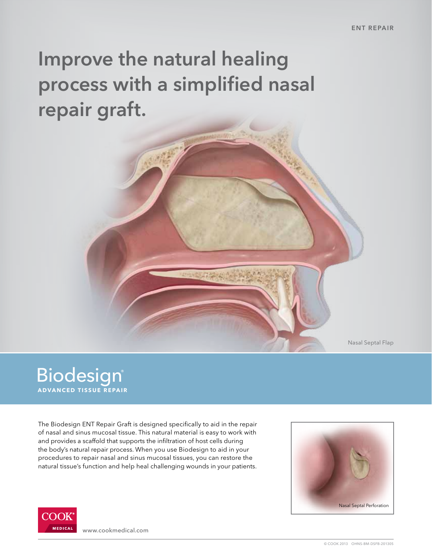# Improve the natural healing process with a simplified nasal repair graft.

Nasal Septal Flap

### **Biodesign**® **ADVANCED TISSUE REPAIR**

The Biodesign ENT Repair Graft is designed specifically to aid in the repair of nasal and sinus mucosal tissue. This natural material is easy to work with and provides a scaffold that supports the infiltration of host cells during the body's natural repair process. When you use Biodesign to aid in your procedures to repair nasal and sinus mucosal tissues, you can restore the natural tissue's function and help heal challenging wounds in your patients.